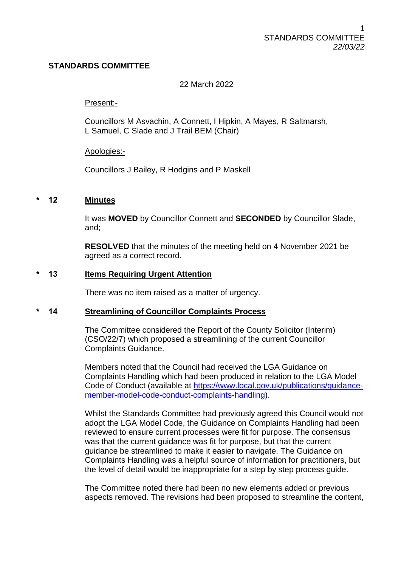# **STANDARDS COMMITTEE**

## 22 March 2022

#### Present:-

Councillors M Asvachin, A Connett, I Hipkin, A Mayes, R Saltmarsh, L Samuel, C Slade and J Trail BEM (Chair)

#### Apologies:-

Councillors J Bailey, R Hodgins and P Maskell

## **\* 12 Minutes**

It was **MOVED** by Councillor Connett and **SECONDED** by Councillor Slade, and;

**RESOLVED** that the minutes of the meeting held on 4 November 2021 be agreed as a correct record.

#### **\* 13 Items Requiring Urgent Attention**

There was no item raised as a matter of urgency.

#### **\* 14 Streamlining of Councillor Complaints Process**

The Committee considered the Report of the County Solicitor (Interim) (CSO/22/7) which proposed a streamlining of the current Councillor Complaints Guidance.

Members noted that the Council had received the LGA Guidance on Complaints Handling which had been produced in relation to the LGA Model Code of Conduct (available at [https://www.local.gov.uk/publications/guidance](https://www.local.gov.uk/publications/guidance-member-model-code-conduct-complaints-handling)[member-model-code-conduct-complaints-handling\)](https://www.local.gov.uk/publications/guidance-member-model-code-conduct-complaints-handling).

Whilst the Standards Committee had previously agreed this Council would not adopt the LGA Model Code, the Guidance on Complaints Handling had been reviewed to ensure current processes were fit for purpose. The consensus was that the current guidance was fit for purpose, but that the current guidance be streamlined to make it easier to navigate. The Guidance on Complaints Handling was a helpful source of information for practitioners, but the level of detail would be inappropriate for a step by step process guide.

The Committee noted there had been no new elements added or previous aspects removed. The revisions had been proposed to streamline the content,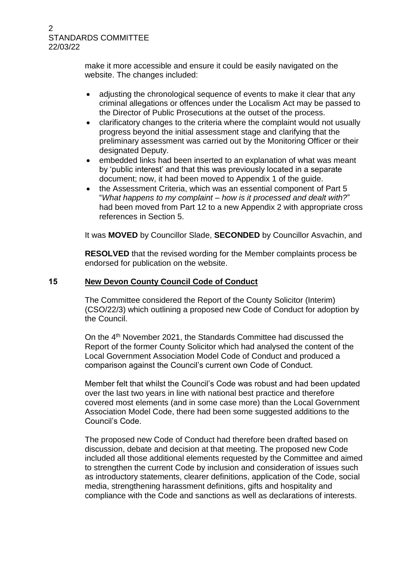# 2 STANDARDS COMMITTEE 22/03/22

make it more accessible and ensure it could be easily navigated on the website. The changes included:

- adjusting the chronological sequence of events to make it clear that any criminal allegations or offences under the Localism Act may be passed to the Director of Public Prosecutions at the outset of the process.
- clarificatory changes to the criteria where the complaint would not usually progress beyond the initial assessment stage and clarifying that the preliminary assessment was carried out by the Monitoring Officer or their designated Deputy.
- embedded links had been inserted to an explanation of what was meant by 'public interest' and that this was previously located in a separate document; now, it had been moved to Appendix 1 of the guide.
- the Assessment Criteria, which was an essential component of Part 5 "*What happens to my complaint – how is it processed and dealt with?*" had been moved from Part 12 to a new Appendix 2 with appropriate cross references in Section 5.

It was **MOVED** by Councillor Slade, **SECONDED** by Councillor Asvachin, and

**RESOLVED** that the revised wording for the Member complaints process be endorsed for publication on the website.

# **15 New Devon County Council Code of Conduct**

The Committee considered the Report of the County Solicitor (Interim) (CSO/22/3) which outlining a proposed new Code of Conduct for adoption by the Council.

On the 4th November 2021, the Standards Committee had discussed the Report of the former County Solicitor which had analysed the content of the Local Government Association Model Code of Conduct and produced a comparison against the Council's current own Code of Conduct.

Member felt that whilst the Council's Code was robust and had been updated over the last two years in line with national best practice and therefore covered most elements (and in some case more) than the Local Government Association Model Code, there had been some suggested additions to the Council's Code.

The proposed new Code of Conduct had therefore been drafted based on discussion, debate and decision at that meeting. The proposed new Code included all those additional elements requested by the Committee and aimed to strengthen the current Code by inclusion and consideration of issues such as introductory statements, clearer definitions, application of the Code, social media, strengthening harassment definitions, gifts and hospitality and compliance with the Code and sanctions as well as declarations of interests.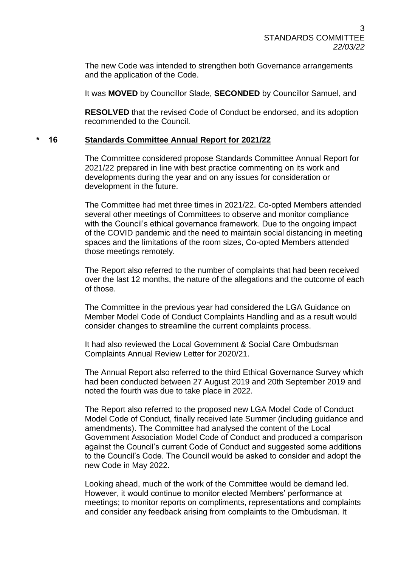The new Code was intended to strengthen both Governance arrangements and the application of the Code.

It was **MOVED** by Councillor Slade, **SECONDED** by Councillor Samuel, and

**RESOLVED** that the revised Code of Conduct be endorsed, and its adoption recommended to the Council.

## **\* 16 Standards Committee Annual Report for 2021/22**

The Committee considered propose Standards Committee Annual Report for 2021/22 prepared in line with best practice commenting on its work and developments during the year and on any issues for consideration or development in the future.

The Committee had met three times in 2021/22. Co-opted Members attended several other meetings of Committees to observe and monitor compliance with the Council's ethical governance framework. Due to the ongoing impact of the COVID pandemic and the need to maintain social distancing in meeting spaces and the limitations of the room sizes, Co-opted Members attended those meetings remotely.

The Report also referred to the number of complaints that had been received over the last 12 months, the nature of the allegations and the outcome of each of those.

The Committee in the previous year had considered the LGA Guidance on Member Model Code of Conduct Complaints Handling and as a result would consider changes to streamline the current complaints process.

It had also reviewed the Local Government & Social Care Ombudsman Complaints Annual Review Letter for 2020/21.

The Annual Report also referred to the third Ethical Governance Survey which had been conducted between 27 August 2019 and 20th September 2019 and noted the fourth was due to take place in 2022.

The Report also referred to the proposed new LGA Model Code of Conduct Model Code of Conduct, finally received late Summer (including guidance and amendments). The Committee had analysed the content of the Local Government Association Model Code of Conduct and produced a comparison against the Council's current Code of Conduct and suggested some additions to the Council's Code. The Council would be asked to consider and adopt the new Code in May 2022.

Looking ahead, much of the work of the Committee would be demand led. However, it would continue to monitor elected Members' performance at meetings; to monitor reports on compliments, representations and complaints and consider any feedback arising from complaints to the Ombudsman. It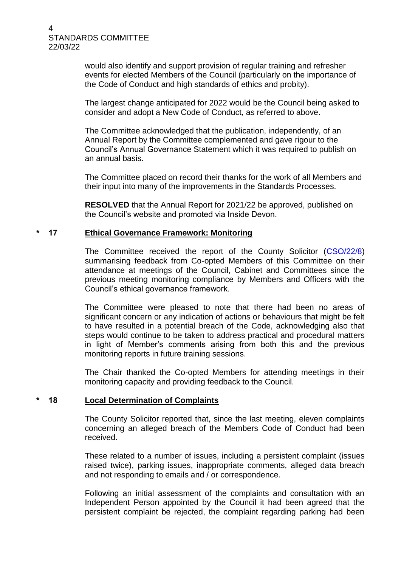4 STANDARDS COMMITTEE 22/03/22

> would also identify and support provision of regular training and refresher events for elected Members of the Council (particularly on the importance of the Code of Conduct and high standards of ethics and probity).

The largest change anticipated for 2022 would be the Council being asked to consider and adopt a New Code of Conduct, as referred to above.

The Committee acknowledged that the publication, independently, of an Annual Report by the Committee complemented and gave rigour to the Council's Annual Governance Statement which it was required to publish on an annual basis.

The Committee placed on record their thanks for the work of all Members and their input into many of the improvements in the Standards Processes.

**RESOLVED** that the Annual Report for 2021/22 be approved, published on the Council's website and promoted via Inside Devon.

# **\* 17 Ethical Governance Framework: Monitoring**

The Committee received the report of the County Solicitor (CSO/22/8) summarising feedback from Co-opted Members of this Committee on their attendance at meetings of the Council, Cabinet and Committees since the previous meeting monitoring compliance by Members and Officers with the Council's ethical governance framework.

The Committee were pleased to note that there had been no areas of significant concern or any indication of actions or behaviours that might be felt to have resulted in a potential breach of the Code, acknowledging also that steps would continue to be taken to address practical and procedural matters in light of Member's comments arising from both this and the previous monitoring reports in future training sessions.

The Chair thanked the Co-opted Members for attending meetings in their monitoring capacity and providing feedback to the Council.

#### **\* 18 Local Determination of Complaints**

The County Solicitor reported that, since the last meeting, eleven complaints concerning an alleged breach of the Members Code of Conduct had been received.

These related to a number of issues, including a persistent complaint (issues raised twice), parking issues, inappropriate comments, alleged data breach and not responding to emails and / or correspondence.

Following an initial assessment of the complaints and consultation with an Independent Person appointed by the Council it had been agreed that the persistent complaint be rejected, the complaint regarding parking had been